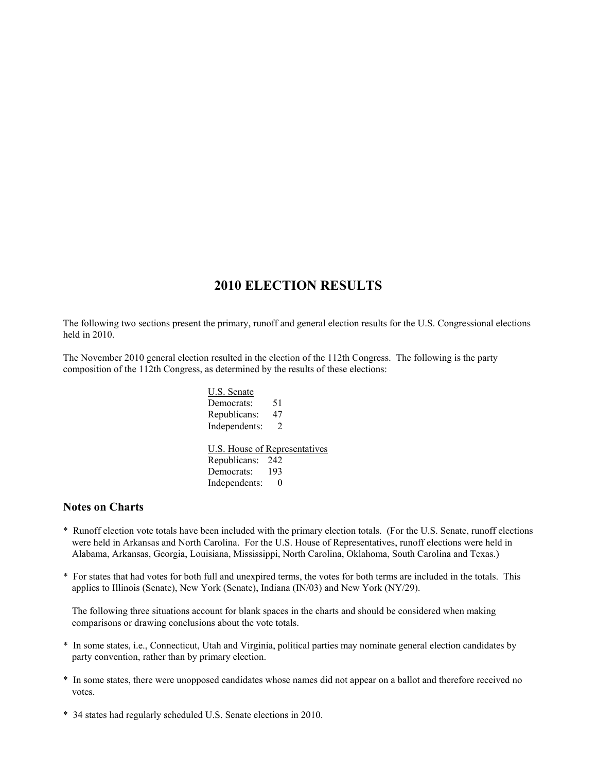# **2010 ELECTION RESULTS**

The following two sections present the primary, runoff and general election results for the U.S. Congressional elections held in 2010.

The November 2010 general election resulted in the election of the 112th Congress. The following is the party composition of the 112th Congress, as determined by the results of these elections:

> U.S. Senate Democrats: 51 Republicans: 47 Independents: 2 U.S. House of Representatives Republicans: 242 Democrats: 193 Independents: 0

#### **Notes on Charts**

- \* Runoff election vote totals have been included with the primary election totals. (For the U.S. Senate, runoff elections were held in Arkansas and North Carolina. For the U.S. House of Representatives, runoff elections were held in Alabama, Arkansas, Georgia, Louisiana, Mississippi, North Carolina, Oklahoma, South Carolina and Texas.)
- \* For states that had votes for both full and unexpired terms, the votes for both terms are included in the totals. This applies to Illinois (Senate), New York (Senate), Indiana (IN/03) and New York (NY/29).

The following three situations account for blank spaces in the charts and should be considered when making comparisons or drawing conclusions about the vote totals.

- \* In some states, i.e., Connecticut, Utah and Virginia, political parties may nominate general election candidates by party convention, rather than by primary election.
- \* In some states, there were unopposed candidates whose names did not appear on a ballot and therefore received no votes.
- \* 34 states had regularly scheduled U.S. Senate elections in 2010.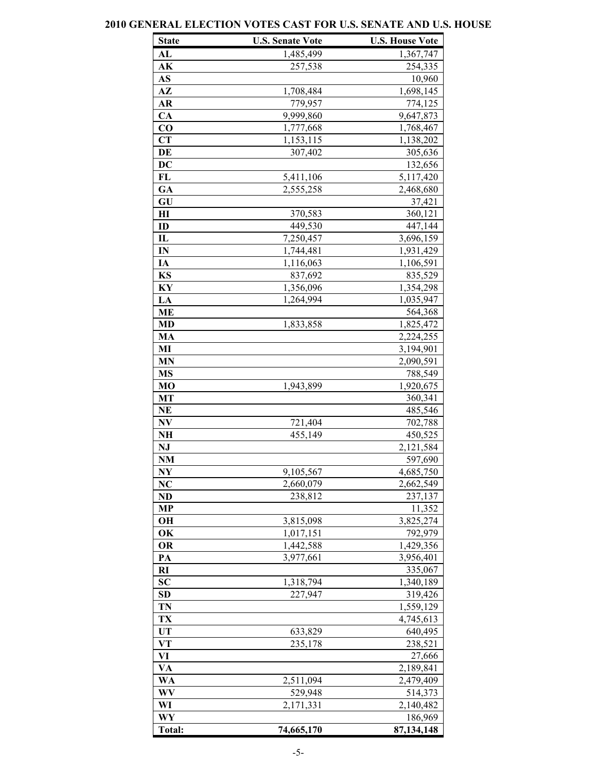### **State U.S. Senate Vote U.S. House Vote AL** 1,485,499 1,367,747 **AK** 257,538 254,335 **AS** 10,960 **AZ** 1,708,484 1,698,145 **AR** 779,957 774,125 **CA** 9,999,860 9,647,873 **CO** 1,777,668 1,768,467 **CT** 1,153,115 1,138,202 **DE** 307,402 305,636 **DC** 132,656 **FL** 5,411,106 5,117,420 GA 2,555,258 2,468,680 **GU** 37,421 **HI** 370,583 360,121 **ID** 449,530 447,144 **IL**  $7,250,457$   $3,696,159$ **IN** 1,744,481 1,931,429 **IA** 1,116,063 1,106,591 **KS** 837,692 835,529 **KY** 1,356,096 1,354,298 LA  $1,264,994$   $1,035,947$ **ME** 564,368 **MD** 1,833,858 1,825,472 **MA** 2,224,255 **MI** 3,194,901 **MN** 2,090,591 **MS** 788,549 **MO** 1,943,899 1,920,675 **MT** 360,341 **NE** 485,546 **NV** 721,404 702,788 **NH** 455,149 450,525 **NJ** 2,121,584 **NM** 597,690 **NY** 9,105,567 4,685,750 **NC** 2,660,079 2,662,549 **ND** 238,812 237,137 **MP** 11,352 **OH** 3,815,098 3,825,274 **OK** 1,017,151 792,979 **OR** 1,442,588 1,429,356 **PA**  $3,977,661$   $3,956,401$ **RI** 335,067 **SC** 1,318,794 1,340,189 **SD** 227,947 319,426 **TN** 1,559,129 **TX** 4,745,613 UT 633,829 640,495 **VT** 235,178 238,521 **VI** 27,666 **VA** 2,189,841 **WA** 2,511,094 2,479,409 **WV** 529,948 514,373 WI 2,171,331 2,140,482 **WY** 186,969 **Total: 74,665,170 87,134,148**

### **2010 GENERAL ELECTION VOTES CAST FOR U.S. SENATE AND U.S. HOUSE**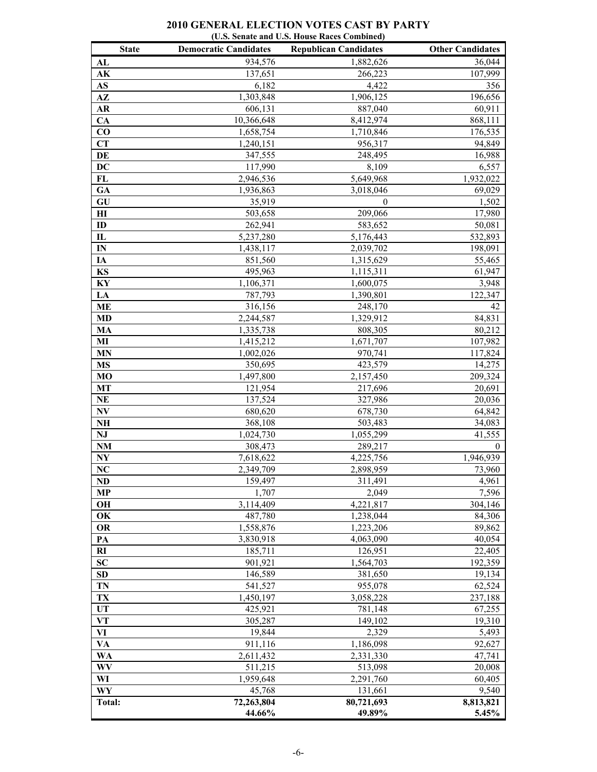### **2010 GENERAL ELECTION VOTES CAST BY PARTY (U.S. Senate and U.S. House Races Combined)**

| <b>State</b>           | <b>Democratic Candidates</b> | <b>Republican Candidates</b> | <b>Other Candidates</b> |
|------------------------|------------------------------|------------------------------|-------------------------|
| AL                     | 934,576                      | 1,882,626                    | 36,044                  |
| AK                     | 137,651                      | 266,223                      | 107,999                 |
| AS                     | 6,182                        | 4,422                        | 356                     |
| $A\mathbf{Z}$          | 1,303,848                    | 1,906,125                    | 196,656                 |
| <b>AR</b>              | 606,131                      | 887,040                      | 60,911                  |
| CA                     | 10,366,648                   | 8,412,974                    | 868,111                 |
| CO                     | 1,658,754                    | 1,710,846                    | 176,535                 |
| <b>CT</b>              | 1,240,151                    | 956,317                      | 94,849                  |
| DE                     | 347,555                      | 248,495                      | 16,988                  |
| <b>DC</b>              | 117,990                      | 8,109                        | 6,557                   |
| FL                     | 2,946,536                    | 5,649,968                    | 1,932,022               |
| GA                     | 1,936,863                    | 3,018,046                    | 69,029                  |
| GU                     | 35,919                       | $\boldsymbol{0}$             | 1,502                   |
| H I                    | 503,658                      | 209,066                      | 17,980                  |
| ID                     | 262,941                      | 583,652                      | 50,081                  |
| $\mathbf{I}$           | 5,237,280                    | 5,176,443                    | 532,893                 |
| $\mathbf{IN}$          | 1,438,117                    | 2,039,702                    | 198,091                 |
| IA                     | 851,560                      | 1,315,629                    | 55,465                  |
| KS                     | 495,963                      | 1,115,311                    | 61,947                  |
| KY                     | 1,106,371                    | 1,600,075                    | 3,948                   |
| LA                     | 787,793                      | 1,390,801                    | 122,347                 |
| <b>ME</b>              | 316,156                      | 248,170                      | 42                      |
| <b>MD</b>              | 2,244,587                    | 1,329,912                    | 84,831                  |
| MA<br>MI               | 1,335,738                    | 808,305                      | 80,212                  |
| <b>MN</b>              | 1,415,212                    | 1,671,707                    | 107,982<br>117,824      |
| <b>MS</b>              | 1,002,026                    | 970,741<br>423,579           | 14,275                  |
| <b>MO</b>              | 350,695<br>1,497,800         | 2,157,450                    | 209,324                 |
| MT                     | 121,954                      | 217,696                      | 20,691                  |
| <b>NE</b>              | 137,524                      | 327,986                      | 20,036                  |
| $\mathbf{N}\mathbf{V}$ | 680,620                      | 678,730                      | 64,842                  |
| NH                     | 368,108                      | 503,483                      | 34,083                  |
| NJ                     | 1,024,730                    | 1,055,299                    | 41,555                  |
| <b>NM</b>              | 308,473                      | 289,217                      | $\bf{0}$                |
| NY                     | 7,618,622                    | 4,225,756                    | 1,946,939               |
| NC                     | 2,349,709                    | 2,898,959                    | 73,960                  |
| <b>ND</b>              | 159,497                      | 311,491                      | 4,961                   |
| MP                     | 1,707                        | 2,049                        | 7.596                   |
| OН                     | 3,114,409                    | 4,221,817                    | 304,146                 |
| OK                     | 487,780                      | 1,238,044                    | 84,306                  |
| <b>OR</b>              | 1,558,876                    | 1,223,206                    | 89,862                  |
| PA                     | 3,830,918                    | 4,063,090                    | 40,054                  |
| RI                     | 185,711                      | 126,951                      | 22,405                  |
| <b>SC</b>              | 901,921                      | 1,564,703                    | 192,359                 |
| SD                     | 146,589                      | 381,650                      | 19,134                  |
| TN                     | 541,527                      | 955,078                      | 62,524                  |
| TX                     | 1,450,197                    | 3,058,228                    | 237,188                 |
| UT                     | 425,921                      | 781,148                      | 67,255                  |
| VT                     | 305,287                      | 149,102                      | 19,310                  |
| VI                     | 19,844                       | 2,329                        | 5,493                   |
| VA                     | 911,116                      | 1,186,098                    | 92,627                  |
| WA                     | 2,611,432                    | 2,331,330                    | 47,741                  |
| WV                     | 511,215                      | 513,098                      | 20,008                  |
| WI                     | 1,959,648                    | 2,291,760                    | 60,405                  |
| WY                     | 45,768                       | 131,661                      | 9,540                   |
| Total:                 | 72,263,804                   | 80,721,693                   | 8,813,821               |
|                        | 44.66%                       | 49.89%                       | 5.45%                   |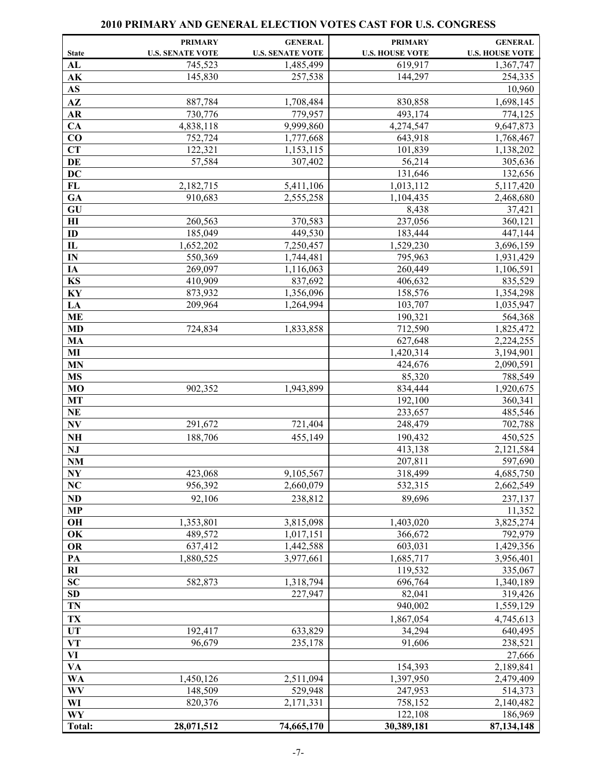|                                   | <b>PRIMARY</b>          | <b>GENERAL</b>          | <b>PRIMARY</b>         | <b>GENERAL</b>         |
|-----------------------------------|-------------------------|-------------------------|------------------------|------------------------|
| <b>State</b>                      | <b>U.S. SENATE VOTE</b> | <b>U.S. SENATE VOTE</b> | <b>U.S. HOUSE VOTE</b> | <b>U.S. HOUSE VOTE</b> |
| AL                                | 745,523                 | 1,485,499               | 619,917                | 1,367,747              |
| ${\bf AK}$                        | 145,830                 | 257,538                 | 144,297                | 254,335                |
| AS                                |                         |                         |                        | 10,960                 |
| $A\mathbf{Z}$                     | 887,784                 | 1,708,484               | 830,858                | 1,698,145              |
| AR                                | 730,776                 | 779,957                 | 493,174                | 774,125                |
| CA                                | 4,838,118               | 9,999,860               | 4,274,547              | 9,647,873              |
| $\bf CO$                          | 752,724                 | 1,777,668               | 643,918                | 1,768,467              |
| <b>CT</b>                         | 122,321                 | 1,153,115               | 101,839                | 1,138,202              |
| DE                                | 57,584                  | 307,402                 | 56,214                 | 305,636                |
| <b>DC</b>                         |                         |                         | 131,646                | 132,656                |
| FL                                | 2,182,715               | 5,411,106               | 1,013,112              | 5,117,420              |
| GA                                | 910,683                 | 2,555,258               | 1,104,435              | 2,468,680              |
| GU                                |                         |                         | 8,438                  | 37,421                 |
| $\mathbf{H}$                      | 260,563                 | 370,583                 | 237,056                | 360,121                |
| ID                                | 185,049                 | 449,530                 | 183,444                | 447,144                |
| $\overline{\mathbf{L}}$           | 1,652,202               | 7,250,457               | 1,529,230              | 3,696,159              |
| IN                                | 550,369                 | 1,744,481               | 795,963                | 1,931,429              |
| IA                                | 269,097                 | 1,116,063               | 260,449                | 1,106,591              |
| KS                                | 410,909                 | 837,692                 | 406,632                | 835,529                |
| KY                                | 873,932                 | 1,356,096               | 158,576                | 1,354,298              |
| LA                                | 209,964                 | 1,264,994               | 103,707                | 1,035,947              |
| <b>ME</b>                         |                         |                         | 190,321                | 564,368                |
| MD                                | 724,834                 | 1,833,858               | 712,590                | 1,825,472              |
| MA                                |                         |                         | 627,648                | 2,224,255              |
| MI                                |                         |                         | 1,420,314              | 3,194,901              |
| <b>MN</b>                         |                         |                         | 424,676                | 2,090,591              |
| <b>MS</b>                         |                         |                         | 85,320                 | 788,549                |
| MO                                | 902,352                 | 1,943,899               | 834,444                | 1,920,675              |
| MT                                |                         |                         | 192,100                | 360,341                |
| <b>NE</b>                         |                         |                         | 233,657                | 485,546                |
| $\mathbf{N}\mathbf{V}$            | 291,672                 | 721,404                 | 248,479                | 702,788                |
| $\mathbf{N}\mathbf{H}$            | 188,706                 | 455,149                 | 190,432                | 450,525                |
| NJ                                |                         |                         | 413,138                | 2,121,584              |
| $\mathbf{N}\mathbf{M}$            |                         |                         | 207,811                | 597,690                |
| $\overline{\mathbf{N}\mathbf{Y}}$ | 423,068                 | 9,105,567               | 318,499                | 4,685,750              |
| NC                                | 956,392                 | 2,660,079               | 532,315                | 2,662,549              |
| <b>ND</b>                         | 92,106                  | 238,812                 | 89,696                 | 237,137                |
| <b>MP</b>                         |                         |                         |                        | 11,352                 |
| OH                                | 1,353,801               | 3,815,098               | 1,403,020              | 3,825,274              |
| OK                                | 489,572                 | 1,017,151               | 366,672                | 792,979                |
| OR                                | 637,412                 | 1,442,588               | 603,031                | 1,429,356              |
| PA                                | 1,880,525               | 3,977,661               | 1,685,717              | 3,956,401              |
| R1                                | 582,873                 |                         | 119,532                | 335,067                |
| SC<br>SD                          |                         | 1,318,794<br>227,947    | 696,764<br>82,041      | 1,340,189<br>319,426   |
| TN                                |                         |                         | 940,002                | 1,559,129              |
|                                   |                         |                         |                        |                        |
| TX                                |                         |                         | 1,867,054              | 4,745,613              |
| <b>UT</b>                         | 192,417                 | 633,829                 | 34,294<br>91,606       | 640,495                |
| <b>VT</b>                         | 96,679                  | 235,178                 |                        | 238,521                |
| VI<br><b>VA</b>                   |                         |                         | 154,393                | 27,666<br>2,189,841    |
| <b>WA</b>                         | 1,450,126               | 2,511,094               | 1,397,950              | 2,479,409              |
| WV                                | 148,509                 | 529,948                 | 247,953                | 514,373                |
| WI                                | 820,376                 | 2,171,331               | 758,152                | 2,140,482              |
| WY                                |                         |                         | 122,108                | 186,969                |
| Total:                            | 28,071,512              | 74,665,170              | 30,389,181             | 87, 134, 148           |

### **2010 PRIMARY AND GENERAL ELECTION VOTES CAST FOR U.S. CONGRESS**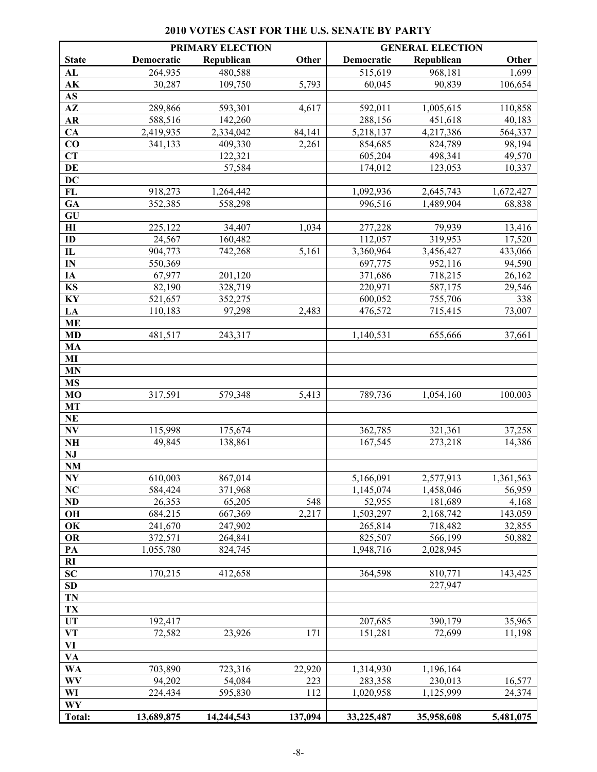## **2010 VOTES CAST FOR THE U.S. SENATE BY PARTY**

|                              |            | PRIMARY ELECTION |         | <b>GENERAL ELECTION</b> |            |           |
|------------------------------|------------|------------------|---------|-------------------------|------------|-----------|
| <b>State</b>                 | Democratic | Republican       | Other   | Democratic              | Republican | Other     |
| AL                           | 264,935    | 480,588          |         | 515,619                 | 968,181    | 1,699     |
| AK                           | 30,287     | 109,750          | 5,793   | 60,045                  | 90,839     | 106,654   |
| $\mathbf{A}\mathbf{S}$       |            |                  |         |                         |            |           |
| $A\mathbf{Z}$                | 289,866    | 593,301          | 4,617   | 592,011                 | 1,005,615  | 110,858   |
| ${\bf AR}$                   | 588,516    | 142,260          |         | 288,156                 | 451,618    | 40,183    |
| CA                           | 2,419,935  | 2,334,042        | 84,141  | 5,218,137               | 4,217,386  | 564,337   |
| CO                           | 341,133    | 409,330          | 2,261   | 854,685                 | 824,789    | 98,194    |
| <b>CT</b>                    |            | 122,321          |         | 605,204                 | 498,341    | 49,570    |
| DE                           |            | 57,584           |         | 174,012                 | 123,053    | 10,337    |
| DC                           |            |                  |         |                         |            |           |
| FL                           | 918,273    | 1,264,442        |         | 1,092,936               | 2,645,743  | 1,672,427 |
| GA                           | 352,385    | 558,298          |         | 996,516                 | 1,489,904  | 68,838    |
| GU                           |            |                  |         |                         |            |           |
| $\mathbf{H}$                 | 225,122    | 34,407           | 1,034   | 277,228                 | 79,939     | 13,416    |
| ID                           | 24,567     | 160,482          |         | 112,057                 | 319,953    | 17,520    |
| $\mathbf{I}$                 | 904,773    | 742,268          | 5,161   | 3,360,964               | 3,456,427  | 433,066   |
| IN                           | 550,369    |                  |         | 697,775                 | 952,116    | 94,590    |
| IA                           | 67,977     | 201,120          |         | 371,686                 | 718,215    | 26,162    |
| KS                           | 82,190     | 328,719          |         | 220,971                 | 587,175    | 29,546    |
| $\mathbf{K}\mathbf{Y}$       | 521,657    | 352,275          |         | 600,052                 | 755,706    | 338       |
| LA                           | 110,183    | 97,298           | 2,483   | 476,572                 | 715,415    | 73,007    |
| <b>ME</b>                    |            |                  |         |                         |            |           |
| <b>MD</b>                    | 481,517    | 243,317          |         | 1,140,531               | 655,666    | 37,661    |
| MA                           |            |                  |         |                         |            |           |
| MI                           |            |                  |         |                         |            |           |
| MN                           |            |                  |         |                         |            |           |
| <b>MS</b>                    |            |                  |         |                         |            |           |
| <b>MO</b>                    | 317,591    | 579,348          | 5,413   | 789,736                 | 1,054,160  | 100,003   |
| <b>MT</b>                    |            |                  |         |                         |            |           |
| $\mathbf{NE}$                |            |                  |         |                         |            |           |
| $\mathbf{N}\mathbf{V}$       | 115,998    | 175,674          |         | 362,785                 | 321,361    | 37,258    |
| N <sub>H</sub>               | 49,845     | 138,861          |         | 167,545                 | 273,218    | 14,386    |
| NJ                           |            |                  |         |                         |            |           |
| $\mathbf{N}\mathbf{M}$       |            |                  |         |                         |            |           |
| N <sub>Y</sub>               | 610,003    | 867,014          |         | 5,166,091               | 2,577,913  | 1,361,563 |
| <b>NC</b>                    | 584,424    | 371,968          |         | 1,145,074               | 1,458,046  | 56,959    |
| <b>ND</b>                    | 26,353     | 65,205           | 548     | 52,955                  | 181,689    | 4,168     |
| OH                           | 684,215    | 667,369          | 2,217   | 1,503,297               | 2,168,742  | 143,059   |
| OK                           | 241,670    | 247,902          |         | 265,814<br>825,507      | 718,482    | 32,855    |
| OR                           | 372,571    | 264,841          |         |                         | 566,199    | 50,882    |
| PA                           | 1,055,780  | 824,745          |         | 1,948,716               | 2,028,945  |           |
| RI<br>SC                     |            |                  |         |                         | 810,771    |           |
| SD                           | 170,215    | 412,658          |         | 364,598                 | 227,947    | 143,425   |
|                              |            |                  |         |                         |            |           |
| TN<br>TX                     |            |                  |         |                         |            |           |
| UT                           | 192,417    |                  |         | 207,685                 | 390,179    |           |
|                              | 72,582     |                  |         |                         |            | 35,965    |
| $\mathbf{V}\mathbf{T}$<br>VI |            | 23,926           | 171     | 151,281                 | 72,699     | 11,198    |
| VA                           |            |                  |         |                         |            |           |
| WA                           | 703,890    | 723,316          | 22,920  | 1,314,930               | 1,196,164  |           |
| <b>WV</b>                    | 94,202     | 54,084           | 223     | 283,358                 | 230,013    | 16,577    |
| WI                           | 224,434    | 595,830          | 112     | 1,020,958               | 1,125,999  | 24,374    |
| WY                           |            |                  |         |                         |            |           |
| <b>Total:</b>                | 13,689,875 | 14,244,543       | 137,094 | 33,225,487              | 35,958,608 | 5,481,075 |
|                              |            |                  |         |                         |            |           |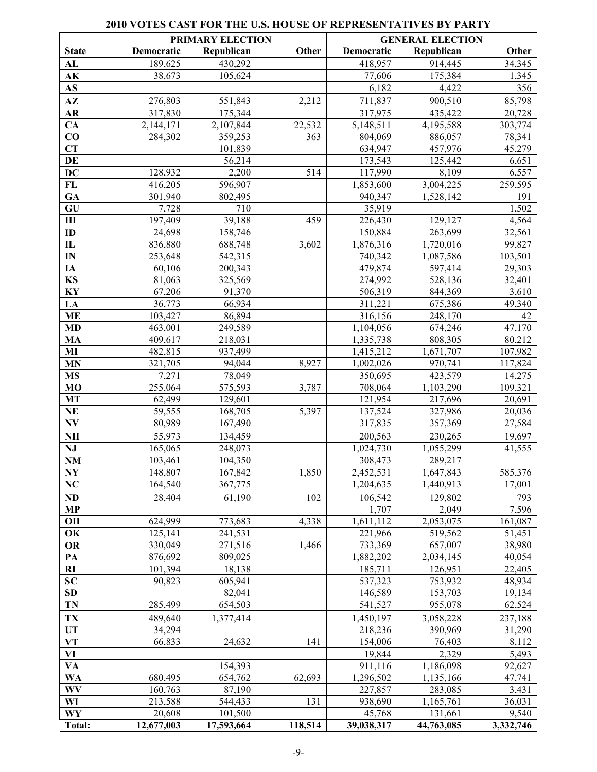### **PRIMARY ELECTION GENERAL ELECTION State Democratic Republican Other Democratic Republican Other AL** 189,625 430,292 189,825 430,292 189,825 430,292 189,825 **AK** 38,673 105,624 77,606 175,384 1,345 **AS** 6,182 4,422 356 **AZ** 276,803 551,843 2,212 711,837 900,510 85,798 **AR** 317,830 175,344 317,975 435,422 20,728 **CA** 2,144,171 2,107,844 22,532 5,148,511 4,195,588 303,774 **CO** 284,302 359,253 363 804,069 886,057 78,341 **CT** 101,839 634,947 457,976 45,279 **DE** 56,214 173,543 125,442 6,651 **DC** 128,932 2,200 514 117,990 8,109 6,557 **FL** 416,205 596,907 1,853,600 3,004,225 259,595 **GA** 301,940 802,495 **940,347** 1,528,142 191 **GU** 7,728 710 **1,502** 7,502 **HI** 197,409 39,188 459 226,430 129,127 4,564 **ID** 24,698 158,746 150,884 263,699 32,561 **IL** 836,880 688,748 3,602 1,876,316 1,720,016 99,827 **IN** 253,648 542,315 740,342 1,087,586 103,501 **IA** 60,106 200,343 **1** 479,874 597,414 29,303 **KS** 81,063 325,569 274,992 528,136 32,401 **KY** 67,206 91,370 **1** 506,319 844,369 3,610 **LA** 36,773 66,934 311,221 675,386 49,340 **ME** 103,427 86,894 103,427 316,156 248,170 42 **MD** 463,001 249,589 1,104,056 674,246 47,170 **MA**  $409,617$  218,031 1,335,738 808,305 80,212 **MI**  $482,815$  937,499  $1,415,212$  1,671,707 107,982 **MN**  $321,705$  94,044 8,927 1,002,026 970,741 117,824 **MS**  $7,271$   $78,049$   $14,275$ **MO** 255,064 575,593 3,787 708,064 1,103,290 109,321 **MT** 62,499 129,601 121,954 217,696 20,691 **NE** 59,555 168,705 5,397 137,524 327,986 20,036 **NV** 80,989 167,490 167,490 317,835 357,369 27,584 **NH**  $55,973$  134,459 200,563 230,265 19,697 **NJ** 165,065 248,073 1,024,730 1,055,299 41,555 **NM** 103,461 104,350 308,473 289,217 **NY** 148,807 167,842 1,850 2,452,531 1,647,843 585,376 **NC** 164,540 367,775 1,204,635 1,440,913 17,001 **ND** 28,404 61,190 102 106,542 129,802 793 **MP** 2,049 7,596 **OH** 624,999 773,683 4,338 1,611,112 2,053,075 161,087 **OK** 125,141 241,531 221,966 519,562 51,451 **OR** 330,049 271,516 1,466 733,369 657,007 38,980 **PA** 876,692 809,025 1,882,202 2,034,145 40,054 **RI** 101,394 18,138 185,711 126,951 22,405 **SC** 90,823 605,941 537,323 753,932 48,934 **SD 82,041** 146,589 153,703 19,134 **TN** 285,499 654,503 1541,527 955,078 62,524 **TX** 489,640 1,377,414 1,450,197 3,058,228 237,188 **UT** 34,294 34,294 218,236 390,969 31,290 **VT** 66,833 24,632 141 154,006 76,403 8,112 **VI** 19,844 2,329 5,493 **VA 154,393** 92,627 **911,116** 1,186,098 92,627 **WA** 680,495 654,762 62,693 1,296,502 1,135,166 47,741 **WV** 160,763 87,190 227,857 283,085 3,431 **WI** 213,588 544,433 131 938,690 1,165,761 36,031 **WY** 20,608 101,500 1 45,768 131,661 9,540 **Total: 12,677,003 17,593,664 118,514 39,038,317 44,763,085 3,332,746**

#### **2010 VOTES CAST FOR THE U.S. HOUSE OF REPRESENTATIVES BY PARTY**